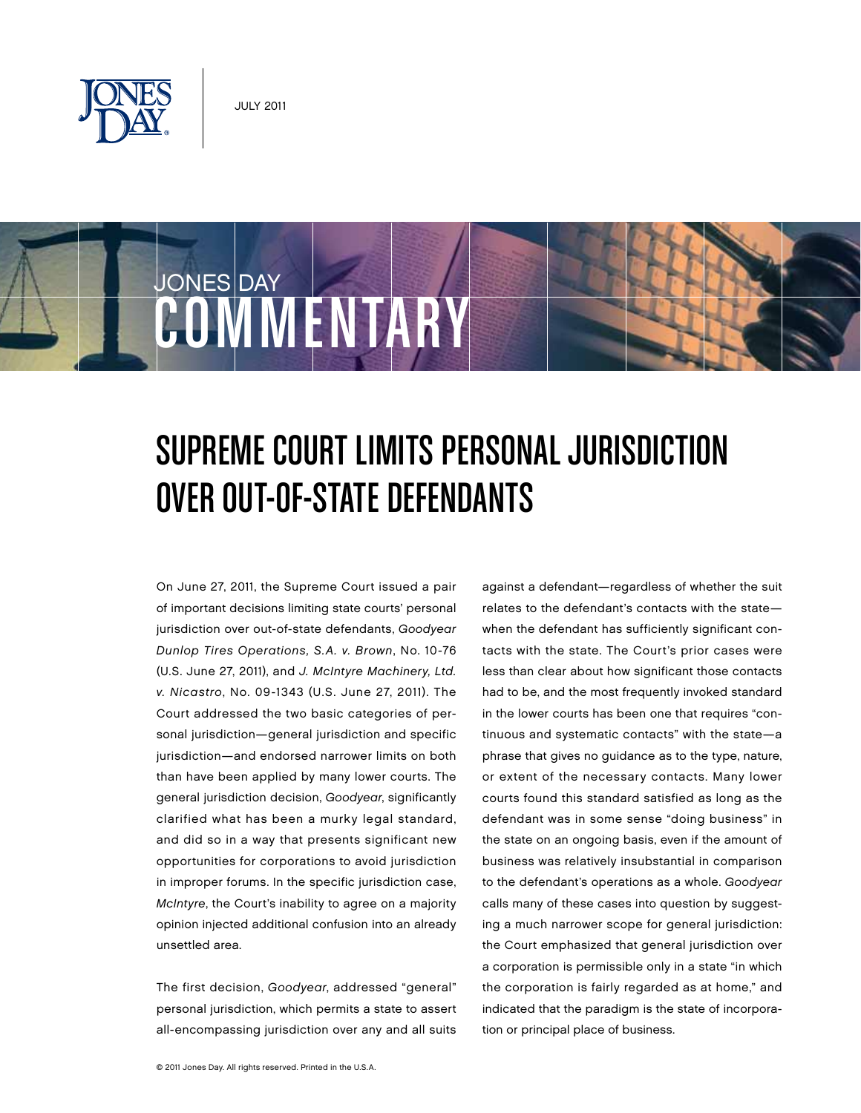

**COMMENTARY** 

JONES DAY



## SUPREME COURT LIMITS PERSONAL JURISDICTION OVER OUT-OF-STATE DEFENDANTS

On June 27, 2011, the Supreme Court issued a pair of important decisions limiting state courts' personal jurisdiction over out-of-state defendants, Goodyear Dunlop Tires Operations, S.A. v. Brown, No. 10-76 (U.S. June 27, 2011), and J. McIntyre Machinery, Ltd. v. Nicastro, No. 09-1343 (U.S. June 27, 2011). The Court addressed the two basic categories of personal jurisdiction—general jurisdiction and specific jurisdiction—and endorsed narrower limits on both than have been applied by many lower courts. The general jurisdiction decision, Goodyear, significantly clarified what has been a murky legal standard, and did so in a way that presents significant new opportunities for corporations to avoid jurisdiction in improper forums. In the specific jurisdiction case, McIntyre, the Court's inability to agree on a majority opinion injected additional confusion into an already unsettled area.

The first decision, Goodyear, addressed "general" personal jurisdiction, which permits a state to assert all-encompassing jurisdiction over any and all suits

against a defendant—regardless of whether the suit relates to the defendant's contacts with the state when the defendant has sufficiently significant contacts with the state. The Court's prior cases were less than clear about how significant those contacts had to be, and the most frequently invoked standard in the lower courts has been one that requires "continuous and systematic contacts" with the state—a phrase that gives no guidance as to the type, nature, or extent of the necessary contacts. Many lower courts found this standard satisfied as long as the defendant was in some sense "doing business" in the state on an ongoing basis, even if the amount of business was relatively insubstantial in comparison to the defendant's operations as a whole. Goodyear calls many of these cases into question by suggesting a much narrower scope for general jurisdiction: the Court emphasized that general jurisdiction over a corporation is permissible only in a state "in which the corporation is fairly regarded as at home," and indicated that the paradigm is the state of incorporation or principal place of business.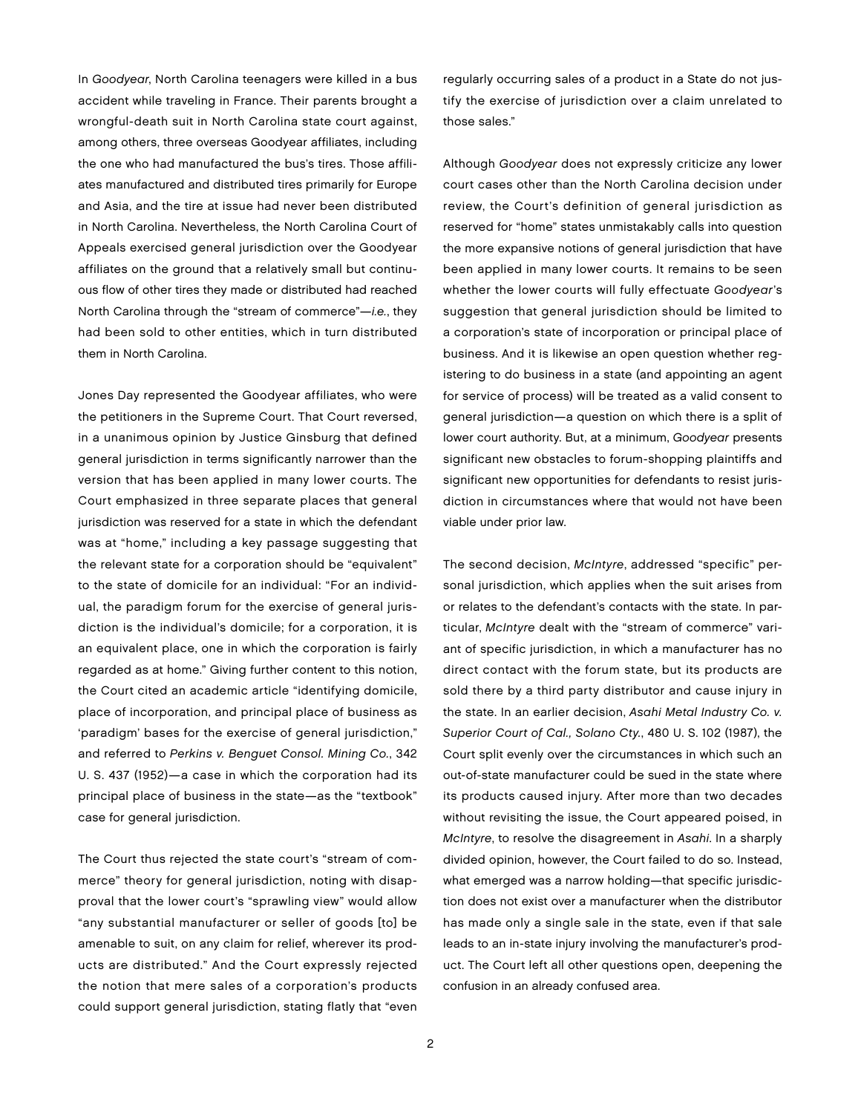In Goodyear, North Carolina teenagers were killed in a bus accident while traveling in France. Their parents brought a wrongful-death suit in North Carolina state court against, among others, three overseas Goodyear affiliates, including the one who had manufactured the bus's tires. Those affiliates manufactured and distributed tires primarily for Europe and Asia, and the tire at issue had never been distributed in North Carolina. Nevertheless, the North Carolina Court of Appeals exercised general jurisdiction over the Goodyear affiliates on the ground that a relatively small but continuous flow of other tires they made or distributed had reached North Carolina through the "stream of commerce"—i.e., they had been sold to other entities, which in turn distributed them in North Carolina.

Jones Day represented the Goodyear affiliates, who were the petitioners in the Supreme Court. That Court reversed, in a unanimous opinion by Justice Ginsburg that defined general jurisdiction in terms significantly narrower than the version that has been applied in many lower courts. The Court emphasized in three separate places that general jurisdiction was reserved for a state in which the defendant was at "home," including a key passage suggesting that the relevant state for a corporation should be "equivalent" to the state of domicile for an individual: "For an individual, the paradigm forum for the exercise of general jurisdiction is the individual's domicile; for a corporation, it is an equivalent place, one in which the corporation is fairly regarded as at home." Giving further content to this notion, the Court cited an academic article "identifying domicile, place of incorporation, and principal place of business as 'paradigm' bases for the exercise of general jurisdiction," and referred to Perkins v. Benguet Consol. Mining Co., 342 U. S. 437 (1952)—a case in which the corporation had its principal place of business in the state—as the "textbook" case for general jurisdiction.

The Court thus rejected the state court's "stream of commerce" theory for general jurisdiction, noting with disapproval that the lower court's "sprawling view" would allow "any substantial manufacturer or seller of goods [to] be amenable to suit, on any claim for relief, wherever its products are distributed." And the Court expressly rejected the notion that mere sales of a corporation's products could support general jurisdiction, stating flatly that "even

regularly occurring sales of a product in a State do not justify the exercise of jurisdiction over a claim unrelated to those sales."

Although Goodyear does not expressly criticize any lower court cases other than the North Carolina decision under review, the Court's definition of general jurisdiction as reserved for "home" states unmistakably calls into question the more expansive notions of general jurisdiction that have been applied in many lower courts. It remains to be seen whether the lower courts will fully effectuate Goodyear's suggestion that general jurisdiction should be limited to a corporation's state of incorporation or principal place of business. And it is likewise an open question whether registering to do business in a state (and appointing an agent for service of process) will be treated as a valid consent to general jurisdiction—a question on which there is a split of lower court authority. But, at a minimum, Goodyear presents significant new obstacles to forum-shopping plaintiffs and significant new opportunities for defendants to resist jurisdiction in circumstances where that would not have been viable under prior law.

The second decision, McIntyre, addressed "specific" personal jurisdiction, which applies when the suit arises from or relates to the defendant's contacts with the state. In particular, McIntyre dealt with the "stream of commerce" variant of specific jurisdiction, in which a manufacturer has no direct contact with the forum state, but its products are sold there by a third party distributor and cause injury in the state. In an earlier decision, Asahi Metal Industry Co. v. Superior Court of Cal., Solano Cty., 480 U. S. 102 (1987), the Court split evenly over the circumstances in which such an out-of-state manufacturer could be sued in the state where its products caused injury. After more than two decades without revisiting the issue, the Court appeared poised, in McIntyre, to resolve the disagreement in Asahi. In a sharply divided opinion, however, the Court failed to do so. Instead, what emerged was a narrow holding—that specific jurisdiction does not exist over a manufacturer when the distributor has made only a single sale in the state, even if that sale leads to an in-state injury involving the manufacturer's product. The Court left all other questions open, deepening the confusion in an already confused area.